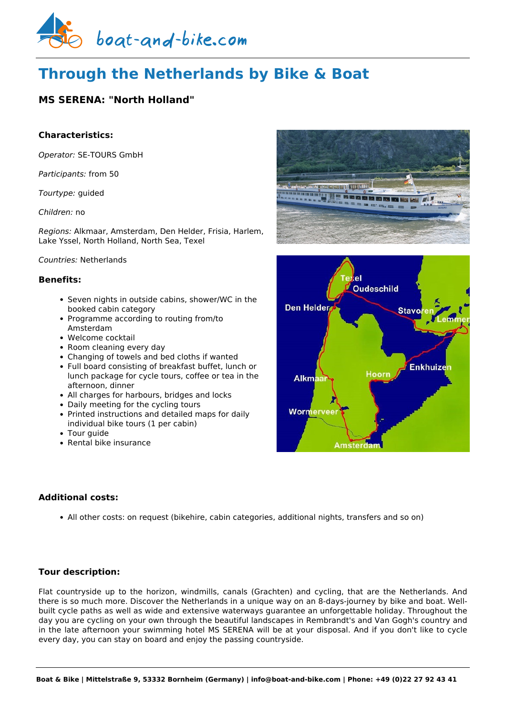

# **Through the Netherlands by Bike & Boat**

## **MS SERENA: "North Holland"**

## **Characteristics:**

*Operator:* [SE-TOURS GmbH](https://www.boat-and-bike.com/operator/se-tours-gmbh.html) 

*Participants:* from 50

*Tourtype:* guided

*Children:* no

*Regions:* Alkmaar, Amsterdam, Den Helder, Frisia, Harlem, Lake Yssel, North Holland, North Sea, Texel

## *Countries:* Netherlands

## **Benefits:**

- Seven nights in outside cabins, shower/WC in the booked cabin category
- Programme according to routing from/to Amsterdam
- Welcome cocktail
- Room cleaning every day
- Changing of towels and bed cloths if wanted
- Full board consisting of breakfast buffet, lunch or lunch package for cycle tours, coffee or tea in the afternoon, dinner
- All charges for harbours, bridges and locks
- Daily meeting for the cycling tours
- Printed instructions and detailed maps for daily individual bike tours (1 per cabin)
- Tour guide
- Rental bike insurance

## **Additional costs:**

All other costs: on request (bikehire, cabin categories, additional nights, transfers and so on)

## **Tour description:**

Flat countryside up to the horizon, windmills, canals (Grachten) and cycling, that are the Netherlands. And there is so much more. Discover the Netherlands in a unique way on an 8-days-journey by bike and boat. Wellbuilt cycle paths as well as wide and extensive waterways guarantee an unforgettable holiday. Throughout the day you are cycling on your own through the beautiful landscapes in Rembrandt's and Van Gogh's country and in the late afternoon your swimming hotel MS SERENA will be at your disposal. And if you don't like to cycle every day, you can stay on board and enjoy the passing countryside.



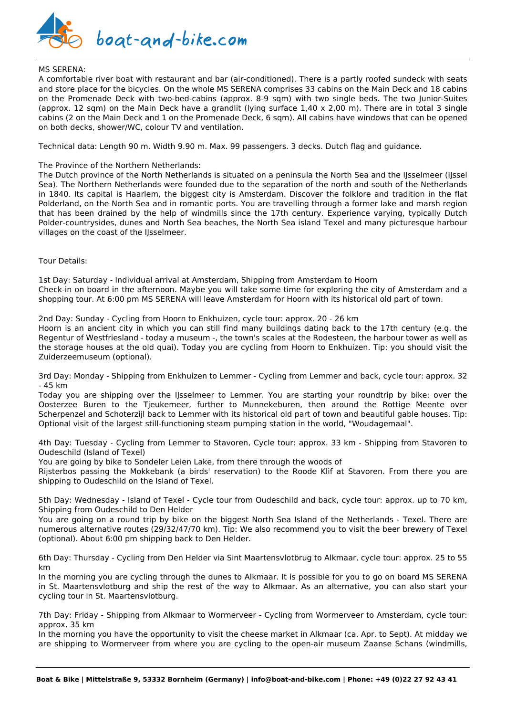

#### MS SERENA:

A comfortable river boat with restaurant and bar (air-conditioned). There is a partly roofed sundeck with seats and store place for the bicycles. On the whole MS SERENA comprises 33 cabins on the Main Deck and 18 cabins on the Promenade Deck with two-bed-cabins (approx. 8-9 sqm) with two single beds. The two Junior-Suites (approx. 12 sqm) on the Main Deck have a grandlit (lying surface 1,40 x 2,00 m). There are in total 3 single cabins (2 on the Main Deck and 1 on the Promenade Deck, 6 sqm). All cabins have windows that can be opened on both decks, shower/WC, colour TV and ventilation.

Technical data: Length 90 m. Width 9.90 m. Max. 99 passengers. 3 decks. Dutch flag and guidance.

#### The Province of the Northern Netherlands:

The Dutch province of the North Netherlands is situated on a peninsula the North Sea and the IJsselmeer (IJssel Sea). The Northern Netherlands were founded due to the separation of the north and south of the Netherlands in 1840. Its capital is Haarlem, the biggest city is Amsterdam. Discover the folklore and tradition in the flat Polderland, on the North Sea and in romantic ports. You are travelling through a former lake and marsh region that has been drained by the help of windmills since the 17th century. Experience varying, typically Dutch Polder-countrysides, dunes and North Sea beaches, the North Sea island Texel and many picturesque harbour villages on the coast of the IJsselmeer.

Tour Details:

1st Day: Saturday - Individual arrival at Amsterdam, Shipping from Amsterdam to Hoorn Check-in on board in the afternoon. Maybe you will take some time for exploring the city of Amsterdam and a shopping tour. At 6:00 pm MS SERENA will leave Amsterdam for Hoorn with its historical old part of town.

2nd Day: Sunday - Cycling from Hoorn to Enkhuizen, cycle tour: approx. 20 - 26 km

Hoorn is an ancient city in which you can still find many buildings dating back to the 17th century (e.g. the Regentur of Westfriesland - today a museum -, the town's scales at the Rodesteen, the harbour tower as well as the storage houses at the old quai). Today you are cycling from Hoorn to Enkhuizen. Tip: you should visit the Zuiderzeemuseum (optional).

3rd Day: Monday - Shipping from Enkhuizen to Lemmer - Cycling from Lemmer and back, cycle tour: approx. 32 - 45 km

Today you are shipping over the IJsselmeer to Lemmer. You are starting your roundtrip by bike: over the Oosterzee Buren to the Tjeukemeer, further to Munnekeburen, then around the Rottige Meente over Scherpenzel and Schoterzijl back to Lemmer with its historical old part of town and beautiful gable houses. Tip: Optional visit of the largest still-functioning steam pumping station in the world, "Woudagemaal".

4th Day: Tuesday - Cycling from Lemmer to Stavoren, Cycle tour: approx. 33 km - Shipping from Stavoren to Oudeschild (Island of Texel)

You are going by bike to Sondeler Leien Lake, from there through the woods of

Rijsterbos passing the Mokkebank (a birds' reservation) to the Roode Klif at Stavoren. From there you are shipping to Oudeschild on the Island of Texel.

5th Day: Wednesday - Island of Texel - Cycle tour from Oudeschild and back, cycle tour: approx. up to 70 km, Shipping from Oudeschild to Den Helder

You are going on a round trip by bike on the biggest North Sea Island of the Netherlands - Texel. There are numerous alternative routes (29/32/47/70 km). Tip: We also recommend you to visit the beer brewery of Texel (optional). About 6:00 pm shipping back to Den Helder.

6th Day: Thursday - Cycling from Den Helder via Sint Maartensvlotbrug to Alkmaar, cycle tour: approx. 25 to 55 km

In the morning you are cycling through the dunes to Alkmaar. It is possible for you to go on board MS SERENA in St. Maartensvlotburg and ship the rest of the way to Alkmaar. As an alternative, you can also start your cycling tour in St. Maartensvlotburg.

7th Day: Friday - Shipping from Alkmaar to Wormerveer - Cycling from Wormerveer to Amsterdam, cycle tour: approx. 35 km

In the morning you have the opportunity to visit the cheese market in Alkmaar (ca. Apr. to Sept). At midday we are shipping to Wormerveer from where you are cycling to the open-air museum Zaanse Schans (windmills,